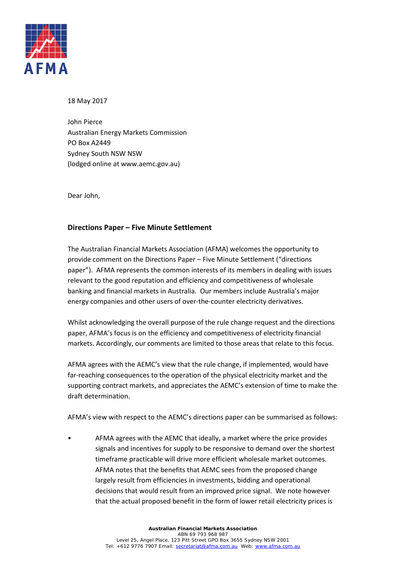

#### 18 May 2017

John Pierce Australian Energy Markets Commission PO Box A2449 Sydney South NSW NSW (lodged online at www.aemc.gov.au)

Dear John,

### **Directions Paper – Five Minute Settlement**

The Australian Financial Markets Association (AFMA) welcomes the opportunity to provide comment on the Directions Paper – Five Minute Settlement ("directions paper"). AFMA represents the common interests of its members in dealing with issues relevant to the good reputation and efficiency and competitiveness of wholesale banking and financial markets in Australia. Our members include Australia's major energy companies and other users of over-the-counter electricity derivatives.

Whilst acknowledging the overall purpose of the rule change request and the directions paper, AFMA's focus is on the efficiency and competitiveness of electricity financial markets. Accordingly, our comments are limited to those areas that relate to this focus.

AFMA agrees with the AEMC's view that the rule change, if implemented, would have far-reaching consequences to the operation of the physical electricity market and the supporting contract markets, and appreciates the AEMC's extension of time to make the draft determination.

AFMA's view with respect to the AEMC's directions paper can be summarised as follows:

• AFMA agrees with the AEMC that ideally, a market where the price provides signals and incentives for supply to be responsive to demand over the shortest timeframe practicable will drive more efficient wholesale market outcomes. AFMA notes that the benefits that AEMC sees from the proposed change largely result from efficiencies in investments, bidding and operational decisions that would result from an improved price signal. We note however that the actual proposed benefit in the form of lower retail electricity prices is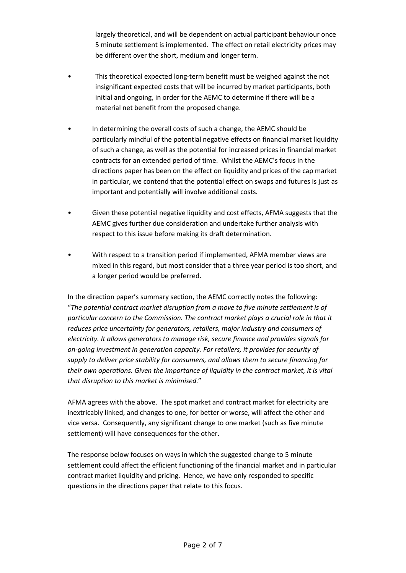largely theoretical, and will be dependent on actual participant behaviour once 5 minute settlement is implemented. The effect on retail electricity prices may be different over the short, medium and longer term.

- This theoretical expected long-term benefit must be weighed against the not insignificant expected costs that will be incurred by market participants, both initial and ongoing, in order for the AEMC to determine if there will be a material net benefit from the proposed change.
- In determining the overall costs of such a change, the AEMC should be particularly mindful of the potential negative effects on financial market liquidity of such a change, as well as the potential for increased prices in financial market contracts for an extended period of time. Whilst the AEMC's focus in the directions paper has been on the effect on liquidity and prices of the cap market in particular, we contend that the potential effect on swaps and futures is just as important and potentially will involve additional costs.
- Given these potential negative liquidity and cost effects, AFMA suggests that the AEMC gives further due consideration and undertake further analysis with respect to this issue before making its draft determination.
- With respect to a transition period if implemented, AFMA member views are mixed in this regard, but most consider that a three year period is too short, and a longer period would be preferred.

In the direction paper's summary section, the AEMC correctly notes the following: "*The potential contract market disruption from a move to five minute settlement is of particular concern to the Commission. The contract market plays a crucial role in that it reduces price uncertainty for generators, retailers, major industry and consumers of electricity. It allows generators to manage risk, secure finance and provides signals for on-going investment in generation capacity. For retailers, it provides for security of supply to deliver price stability for consumers, and allows them to secure financing for their own operations. Given the importance of liquidity in the contract market, it is vital that disruption to this market is minimised.*"

AFMA agrees with the above. The spot market and contract market for electricity are inextricably linked, and changes to one, for better or worse, will affect the other and vice versa. Consequently, any significant change to one market (such as five minute settlement) will have consequences for the other.

The response below focuses on ways in which the suggested change to 5 minute settlement could affect the efficient functioning of the financial market and in particular contract market liquidity and pricing. Hence, we have only responded to specific questions in the directions paper that relate to this focus.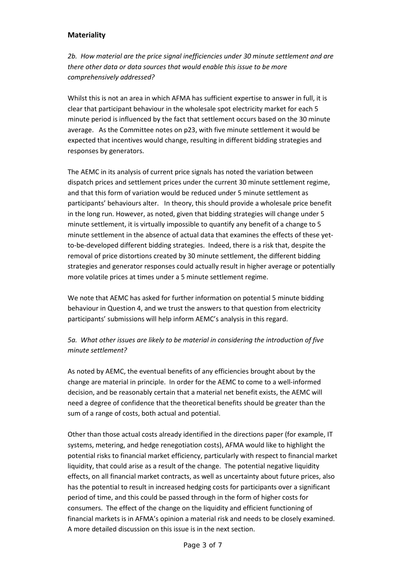## **Materiality**

*2b. How material are the price signal inefficiencies under 30 minute settlement and are there other data or data sources that would enable this issue to be more comprehensively addressed?*

Whilst this is not an area in which AFMA has sufficient expertise to answer in full, it is clear that participant behaviour in the wholesale spot electricity market for each 5 minute period is influenced by the fact that settlement occurs based on the 30 minute average. As the Committee notes on p23, with five minute settlement it would be expected that incentives would change, resulting in different bidding strategies and responses by generators.

The AEMC in its analysis of current price signals has noted the variation between dispatch prices and settlement prices under the current 30 minute settlement regime, and that this form of variation would be reduced under 5 minute settlement as participants' behaviours alter. In theory, this should provide a wholesale price benefit in the long run. However, as noted, given that bidding strategies will change under 5 minute settlement, it is virtually impossible to quantify any benefit of a change to 5 minute settlement in the absence of actual data that examines the effects of these yetto-be-developed different bidding strategies. Indeed, there is a risk that, despite the removal of price distortions created by 30 minute settlement, the different bidding strategies and generator responses could actually result in higher average or potentially more volatile prices at times under a 5 minute settlement regime.

We note that AEMC has asked for further information on potential 5 minute bidding behaviour in Question 4, and we trust the answers to that question from electricity participants' submissions will help inform AEMC's analysis in this regard.

# *5a. What other issues are likely to be material in considering the introduction of five minute settlement?*

As noted by AEMC, the eventual benefits of any efficiencies brought about by the change are material in principle. In order for the AEMC to come to a well-informed decision, and be reasonably certain that a material net benefit exists, the AEMC will need a degree of confidence that the theoretical benefits should be greater than the sum of a range of costs, both actual and potential.

Other than those actual costs already identified in the directions paper (for example, IT systems, metering, and hedge renegotiation costs), AFMA would like to highlight the potential risks to financial market efficiency, particularly with respect to financial market liquidity, that could arise as a result of the change. The potential negative liquidity effects, on all financial market contracts, as well as uncertainty about future prices, also has the potential to result in increased hedging costs for participants over a significant period of time, and this could be passed through in the form of higher costs for consumers. The effect of the change on the liquidity and efficient functioning of financial markets is in AFMA's opinion a material risk and needs to be closely examined. A more detailed discussion on this issue is in the next section.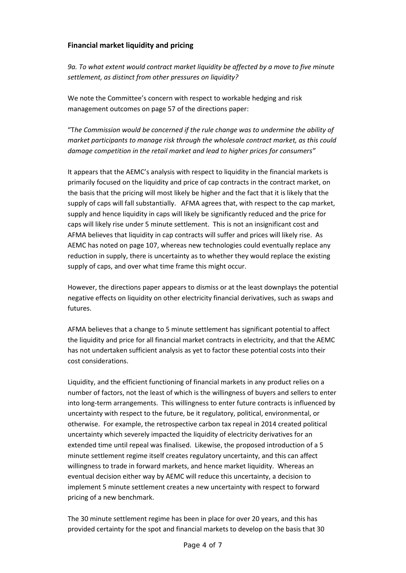## **Financial market liquidity and pricing**

*9a. To what extent would contract market liquidity be affected by a move to five minute settlement, as distinct from other pressures on liquidity?*

We note the Committee's concern with respect to workable hedging and risk management outcomes on page 57 of the directions paper:

"T*he Commission would be concerned if the rule change was to undermine the ability of market participants to manage risk through the wholesale contract market, as this could damage competition in the retail market and lead to higher prices for consumers"* 

It appears that the AEMC's analysis with respect to liquidity in the financial markets is primarily focused on the liquidity and price of cap contracts in the contract market, on the basis that the pricing will most likely be higher and the fact that it is likely that the supply of caps will fall substantially. AFMA agrees that, with respect to the cap market, supply and hence liquidity in caps will likely be significantly reduced and the price for caps will likely rise under 5 minute settlement. This is not an insignificant cost and AFMA believes that liquidity in cap contracts will suffer and prices will likely rise. As AEMC has noted on page 107, whereas new technologies could eventually replace any reduction in supply, there is uncertainty as to whether they would replace the existing supply of caps, and over what time frame this might occur.

However, the directions paper appears to dismiss or at the least downplays the potential negative effects on liquidity on other electricity financial derivatives, such as swaps and futures.

AFMA believes that a change to 5 minute settlement has significant potential to affect the liquidity and price for all financial market contracts in electricity, and that the AEMC has not undertaken sufficient analysis as yet to factor these potential costs into their cost considerations.

Liquidity, and the efficient functioning of financial markets in any product relies on a number of factors, not the least of which is the willingness of buyers and sellers to enter into long-term arrangements. This willingness to enter future contracts is influenced by uncertainty with respect to the future, be it regulatory, political, environmental, or otherwise. For example, the retrospective carbon tax repeal in 2014 created political uncertainty which severely impacted the liquidity of electricity derivatives for an extended time until repeal was finalised. Likewise, the proposed introduction of a 5 minute settlement regime itself creates regulatory uncertainty, and this can affect willingness to trade in forward markets, and hence market liquidity. Whereas an eventual decision either way by AEMC will reduce this uncertainty, a decision to implement 5 minute settlement creates a new uncertainty with respect to forward pricing of a new benchmark.

The 30 minute settlement regime has been in place for over 20 years, and this has provided certainty for the spot and financial markets to develop on the basis that 30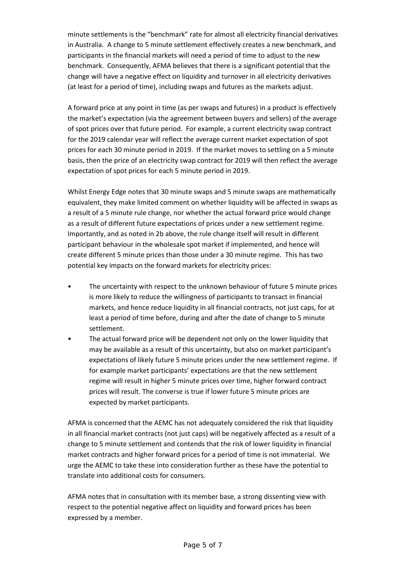minute settlements is the "benchmark" rate for almost all electricity financial derivatives in Australia. A change to 5 minute settlement effectively creates a new benchmark, and participants in the financial markets will need a period of time to adjust to the new benchmark. Consequently, AFMA believes that there is a significant potential that the change will have a negative effect on liquidity and turnover in all electricity derivatives (at least for a period of time), including swaps and futures as the markets adjust.

A forward price at any point in time (as per swaps and futures) in a product is effectively the market's expectation (via the agreement between buyers and sellers) of the average of spot prices over that future period. For example, a current electricity swap contract for the 2019 calendar year will reflect the average current market expectation of spot prices for each 30 minute period in 2019. If the market moves to settling on a 5 minute basis, then the price of an electricity swap contract for 2019 will then reflect the average expectation of spot prices for each 5 minute period in 2019.

Whilst Energy Edge notes that 30 minute swaps and 5 minute swaps are mathematically equivalent, they make limited comment on whether liquidity will be affected in swaps as a result of a 5 minute rule change, nor whether the actual forward price would change as a result of different future expectations of prices under a new settlement regime. Importantly, and as noted in 2b above, the rule change itself will result in different participant behaviour in the wholesale spot market if implemented, and hence will create different 5 minute prices than those under a 30 minute regime. This has two potential key impacts on the forward markets for electricity prices:

- The uncertainty with respect to the unknown behaviour of future 5 minute prices is more likely to reduce the willingness of participants to transact in financial markets, and hence reduce liquidity in all financial contracts, not just caps, for at least a period of time before, during and after the date of change to 5 minute settlement.
- The actual forward price will be dependent not only on the lower liquidity that may be available as a result of this uncertainty, but also on market participant's expectations of likely future 5 minute prices under the new settlement regime. If for example market participants' expectations are that the new settlement regime will result in higher 5 minute prices over time, higher forward contract prices will result. The converse is true if lower future 5 minute prices are expected by market participants.

AFMA is concerned that the AEMC has not adequately considered the risk that liquidity in all financial market contracts (not just caps) will be negatively affected as a result of a change to 5 minute settlement and contends that the risk of lower liquidity in financial market contracts and higher forward prices for a period of time is not immaterial. We urge the AEMC to take these into consideration further as these have the potential to translate into additional costs for consumers.

AFMA notes that in consultation with its member base, a strong dissenting view with respect to the potential negative affect on liquidity and forward prices has been expressed by a member.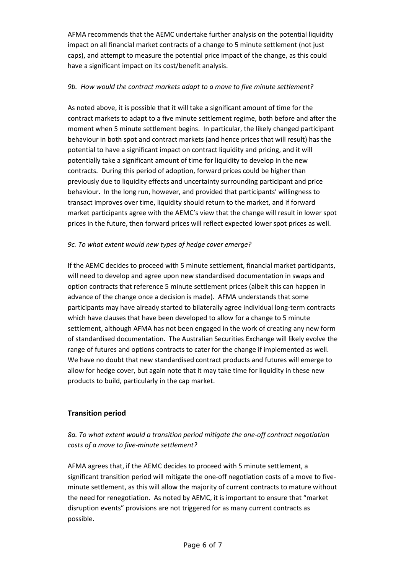AFMA recommends that the AEMC undertake further analysis on the potential liquidity impact on all financial market contracts of a change to 5 minute settlement (not just caps), and attempt to measure the potential price impact of the change, as this could have a significant impact on its cost/benefit analysis.

### *9b. How would the contract markets adapt to a move to five minute settlement?*

As noted above, it is possible that it will take a significant amount of time for the contract markets to adapt to a five minute settlement regime, both before and after the moment when 5 minute settlement begins. In particular, the likely changed participant behaviour in both spot and contract markets (and hence prices that will result) has the potential to have a significant impact on contract liquidity and pricing, and it will potentially take a significant amount of time for liquidity to develop in the new contracts. During this period of adoption, forward prices could be higher than previously due to liquidity effects and uncertainty surrounding participant and price behaviour. In the long run, however, and provided that participants' willingness to transact improves over time, liquidity should return to the market, and if forward market participants agree with the AEMC's view that the change will result in lower spot prices in the future, then forward prices will reflect expected lower spot prices as well.

### *9c. To what extent would new types of hedge cover emerge?*

If the AEMC decides to proceed with 5 minute settlement, financial market participants, will need to develop and agree upon new standardised documentation in swaps and option contracts that reference 5 minute settlement prices (albeit this can happen in advance of the change once a decision is made). AFMA understands that some participants may have already started to bilaterally agree individual long-term contracts which have clauses that have been developed to allow for a change to 5 minute settlement, although AFMA has not been engaged in the work of creating any new form of standardised documentation. The Australian Securities Exchange will likely evolve the range of futures and options contracts to cater for the change if implemented as well. We have no doubt that new standardised contract products and futures will emerge to allow for hedge cover, but again note that it may take time for liquidity in these new products to build, particularly in the cap market.

### **Transition period**

# *8a. To what extent would a transition period mitigate the one-off contract negotiation costs of a move to five-minute settlement?*

AFMA agrees that, if the AEMC decides to proceed with 5 minute settlement, a significant transition period will mitigate the one-off negotiation costs of a move to fiveminute settlement, as this will allow the majority of current contracts to mature without the need for renegotiation. As noted by AEMC, it is important to ensure that "market disruption events" provisions are not triggered for as many current contracts as possible.